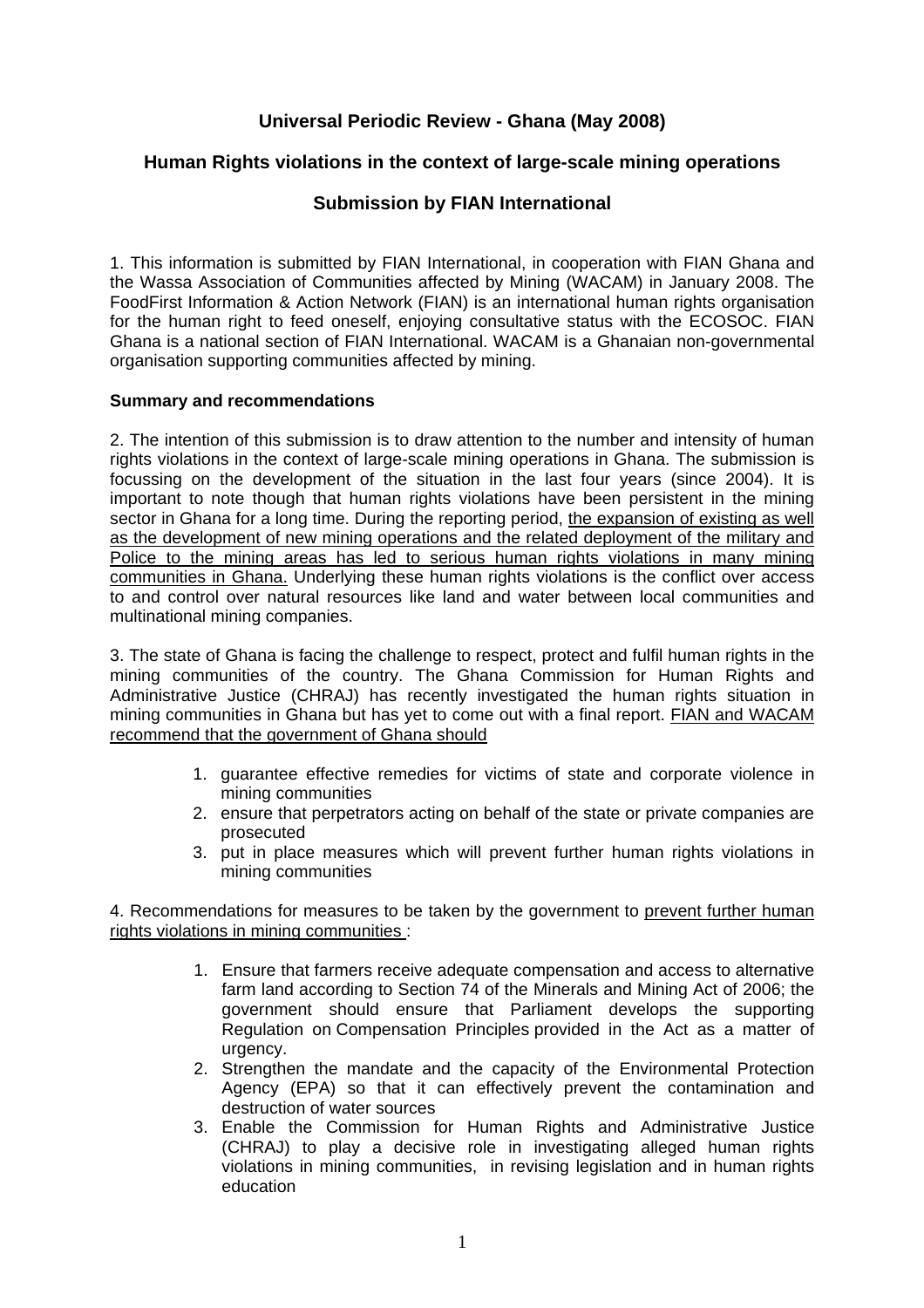## **Universal Periodic Review - Ghana (May 2008)**

## **Human Rights violations in the context of large-scale mining operations**

## **Submission by FIAN International**

1. This information is submitted by FIAN International, in cooperation with FIAN Ghana and the Wassa Association of Communities affected by Mining (WACAM) in January 2008. The FoodFirst Information & Action Network (FIAN) is an international human rights organisation for the human right to feed oneself, enjoying consultative status with the ECOSOC. FIAN Ghana is a national section of FIAN International. WACAM is a Ghanaian non-governmental organisation supporting communities affected by mining.

## **Summary and recommendations**

2. The intention of this submission is to draw attention to the number and intensity of human rights violations in the context of large-scale mining operations in Ghana. The submission is focussing on the development of the situation in the last four years (since 2004). It is important to note though that human rights violations have been persistent in the mining sector in Ghana for a long time. During the reporting period, the expansion of existing as well as the development of new mining operations and the related deployment of the military and Police to the mining areas has led to serious human rights violations in many mining communities in Ghana. Underlying these human rights violations is the conflict over access to and control over natural resources like land and water between local communities and multinational mining companies.

3. The state of Ghana is facing the challenge to respect, protect and fulfil human rights in the mining communities of the country. The Ghana Commission for Human Rights and Administrative Justice (CHRAJ) has recently investigated the human rights situation in mining communities in Ghana but has yet to come out with a final report. FIAN and WACAM recommend that the government of Ghana should

- 1. guarantee effective remedies for victims of state and corporate violence in mining communities
- 2. ensure that perpetrators acting on behalf of the state or private companies are prosecuted
- 3. put in place measures which will prevent further human rights violations in mining communities

4. Recommendations for measures to be taken by the government to prevent further human rights violations in mining communities :

- 1. Ensure that farmers receive adequate compensation and access to alternative farm land according to Section 74 of the Minerals and Mining Act of 2006; the government should ensure that Parliament develops the supporting Regulation on Compensation Principles provided in the Act as a matter of urgency.
- 2. Strengthen the mandate and the capacity of the Environmental Protection Agency (EPA) so that it can effectively prevent the contamination and destruction of water sources
- 3. Enable the Commission for Human Rights and Administrative Justice (CHRAJ) to play a decisive role in investigating alleged human rights violations in mining communities, in revising legislation and in human rights education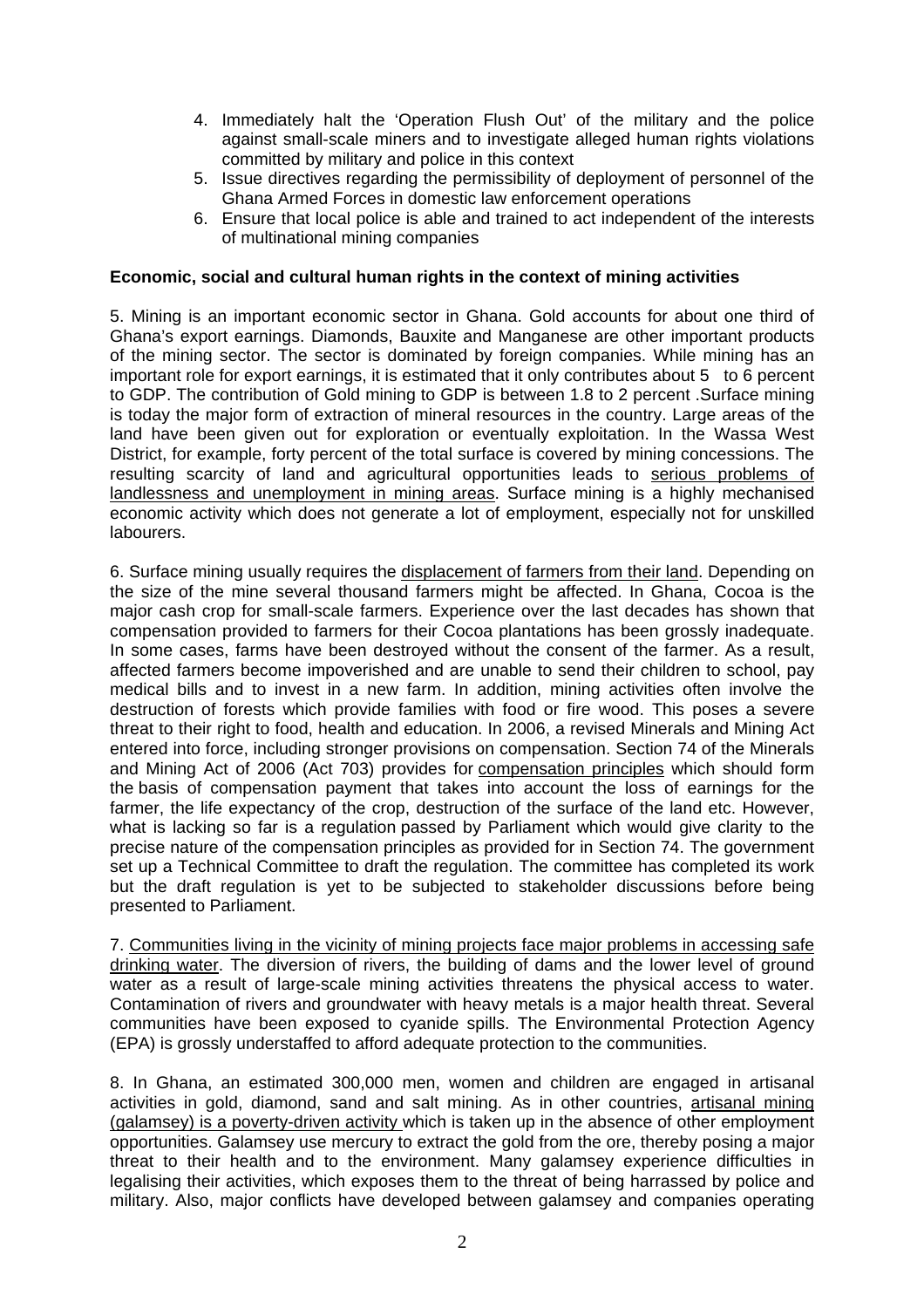- 4. Immediately halt the 'Operation Flush Out' of the military and the police against small-scale miners and to investigate alleged human rights violations committed by military and police in this context
- 5. Issue directives regarding the permissibility of deployment of personnel of the Ghana Armed Forces in domestic law enforcement operations
- 6. Ensure that local police is able and trained to act independent of the interests of multinational mining companies

#### **Economic, social and cultural human rights in the context of mining activities**

5. Mining is an important economic sector in Ghana. Gold accounts for about one third of Ghana's export earnings. Diamonds, Bauxite and Manganese are other important products of the mining sector. The sector is dominated by foreign companies. While mining has an important role for export earnings, it is estimated that it only contributes about 5 to 6 percent to GDP. The contribution of Gold mining to GDP is between 1.8 to 2 percent .Surface mining is today the major form of extraction of mineral resources in the country. Large areas of the land have been given out for exploration or eventually exploitation. In the Wassa West District, for example, forty percent of the total surface is covered by mining concessions. The resulting scarcity of land and agricultural opportunities leads to serious problems of landlessness and unemployment in mining areas. Surface mining is a highly mechanised economic activity which does not generate a lot of employment, especially not for unskilled labourers.

6. Surface mining usually requires the displacement of farmers from their land. Depending on the size of the mine several thousand farmers might be affected. In Ghana, Cocoa is the major cash crop for small-scale farmers. Experience over the last decades has shown that compensation provided to farmers for their Cocoa plantations has been grossly inadequate. In some cases, farms have been destroyed without the consent of the farmer. As a result, affected farmers become impoverished and are unable to send their children to school, pay medical bills and to invest in a new farm. In addition, mining activities often involve the destruction of forests which provide families with food or fire wood. This poses a severe threat to their right to food, health and education. In 2006, a revised Minerals and Mining Act entered into force, including stronger provisions on compensation. Section 74 of the Minerals and Mining Act of 2006 (Act 703) provides for compensation principles which should form the basis of compensation payment that takes into account the loss of earnings for the farmer, the life expectancy of the crop, destruction of the surface of the land etc. However, what is lacking so far is a regulation passed by Parliament which would give clarity to the precise nature of the compensation principles as provided for in Section 74. The government set up a Technical Committee to draft the regulation. The committee has completed its work but the draft regulation is yet to be subjected to stakeholder discussions before being presented to Parliament.

7. Communities living in the vicinity of mining projects face major problems in accessing safe drinking water. The diversion of rivers, the building of dams and the lower level of ground water as a result of large-scale mining activities threatens the physical access to water. Contamination of rivers and groundwater with heavy metals is a major health threat. Several communities have been exposed to cyanide spills. The Environmental Protection Agency (EPA) is grossly understaffed to afford adequate protection to the communities.

8. In Ghana, an estimated 300,000 men, women and children are engaged in artisanal activities in gold, diamond, sand and salt mining. As in other countries, artisanal mining (galamsey) is a poverty-driven activity which is taken up in the absence of other employment opportunities. Galamsey use mercury to extract the gold from the ore, thereby posing a major threat to their health and to the environment. Many galamsey experience difficulties in legalising their activities, which exposes them to the threat of being harrassed by police and military. Also, major conflicts have developed between galamsey and companies operating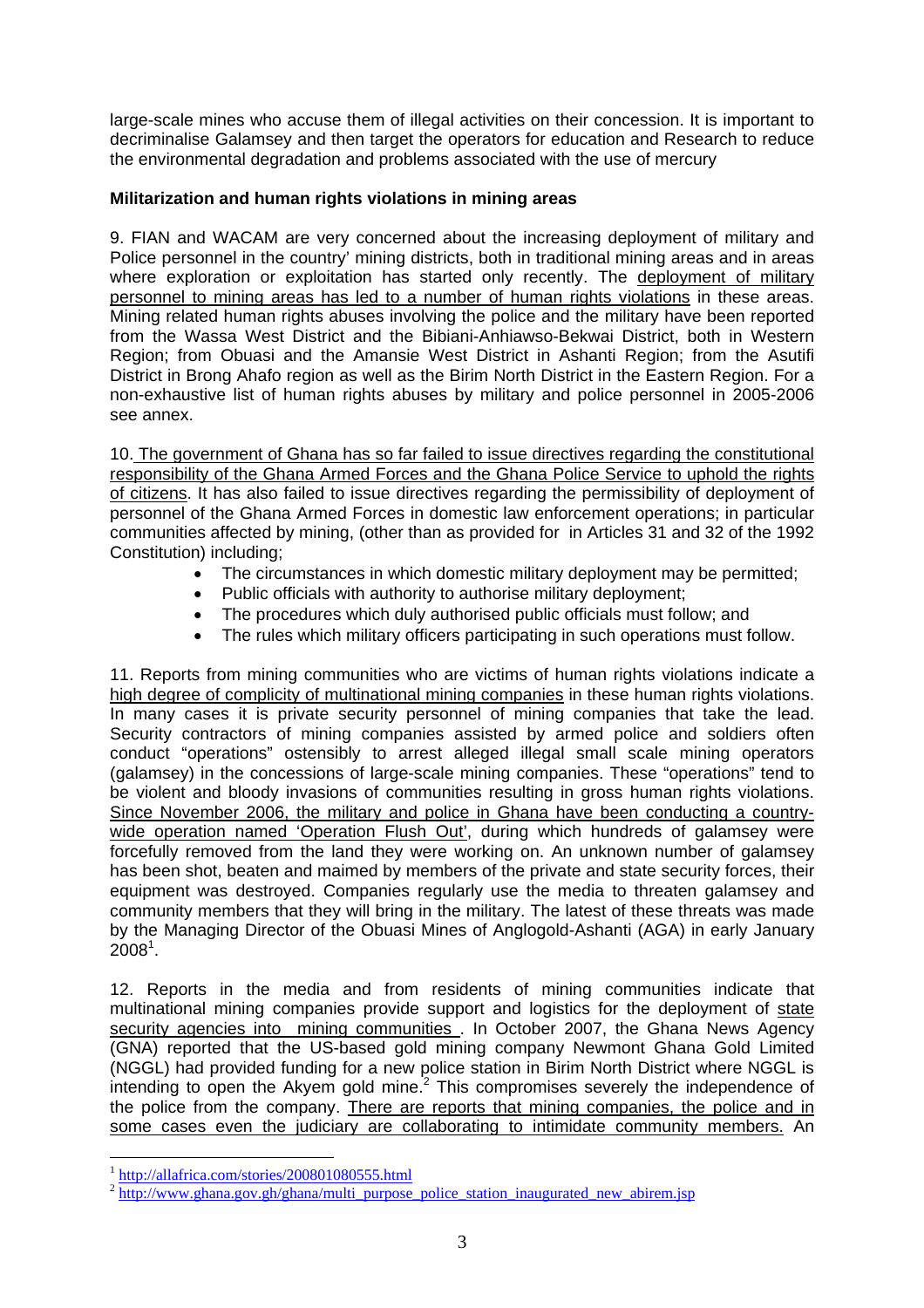large-scale mines who accuse them of illegal activities on their concession. It is important to decriminalise Galamsey and then target the operators for education and Research to reduce the environmental degradation and problems associated with the use of mercury

## **Militarization and human rights violations in mining areas**

9. FIAN and WACAM are very concerned about the increasing deployment of military and Police personnel in the country' mining districts, both in traditional mining areas and in areas where exploration or exploitation has started only recently. The deployment of military personnel to mining areas has led to a number of human rights violations in these areas. Mining related human rights abuses involving the police and the military have been reported from the Wassa West District and the Bibiani-Anhiawso-Bekwai District, both in Western Region; from Obuasi and the Amansie West District in Ashanti Region; from the Asutifi District in Brong Ahafo region as well as the Birim North District in the Eastern Region. For a non-exhaustive list of human rights abuses by military and police personnel in 2005-2006 see annex.

10. The government of Ghana has so far failed to issue directives regarding the constitutional responsibility of the Ghana Armed Forces and the Ghana Police Service to uphold the rights of citizens. It has also failed to issue directives regarding the permissibility of deployment of personnel of the Ghana Armed Forces in domestic law enforcement operations; in particular communities affected by mining, (other than as provided for in Articles 31 and 32 of the 1992 Constitution) including;

- The circumstances in which domestic military deployment may be permitted;
- Public officials with authority to authorise military deployment;
- The procedures which duly authorised public officials must follow; and
- The rules which military officers participating in such operations must follow.

11. Reports from mining communities who are victims of human rights violations indicate a high degree of complicity of multinational mining companies in these human rights violations. In many cases it is private security personnel of mining companies that take the lead. Security contractors of mining companies assisted by armed police and soldiers often conduct "operations" ostensibly to arrest alleged illegal small scale mining operators (galamsey) in the concessions of large-scale mining companies. These "operations" tend to be violent and bloody invasions of communities resulting in gross human rights violations. Since November 2006, the military and police in Ghana have been conducting a countrywide operation named 'Operation Flush Out', during which hundreds of galamsey were forcefully removed from the land they were working on. An unknown number of galamsey has been shot, beaten and maimed by members of the private and state security forces, their equipment was destroyed. Companies regularly use the media to threaten galamsey and community members that they will bring in the military. The latest of these threats was made by the Managing Director of the Obuasi Mines of Anglogold-Ashanti (AGA) in early January  $2008<sup>1</sup>$ .

12. Reports in the media and from residents of mining communities indicate that multinational mining companies provide support and logistics for the deployment of state security agencies into mining communities . In October 2007, the Ghana News Agency (GNA) reported that the US-based gold mining company Newmont Ghana Gold Limited (NGGL) had provided funding for a new police station in Birim North District where NGGL is intending to open the Akyem gold mine. $2$  This compromises severely the independence of the police from the company. There are reports that mining companies, the police and in some cases even the judiciary are collaborating to intimidate community members. An

1

 $\frac{1 \text{ http://allafrica.com/stories/200801080555.html}}{2 \text{ http://www.ghana.gov.gh/ghana/multi purpose-police station inaugurated new abirem.jsp}$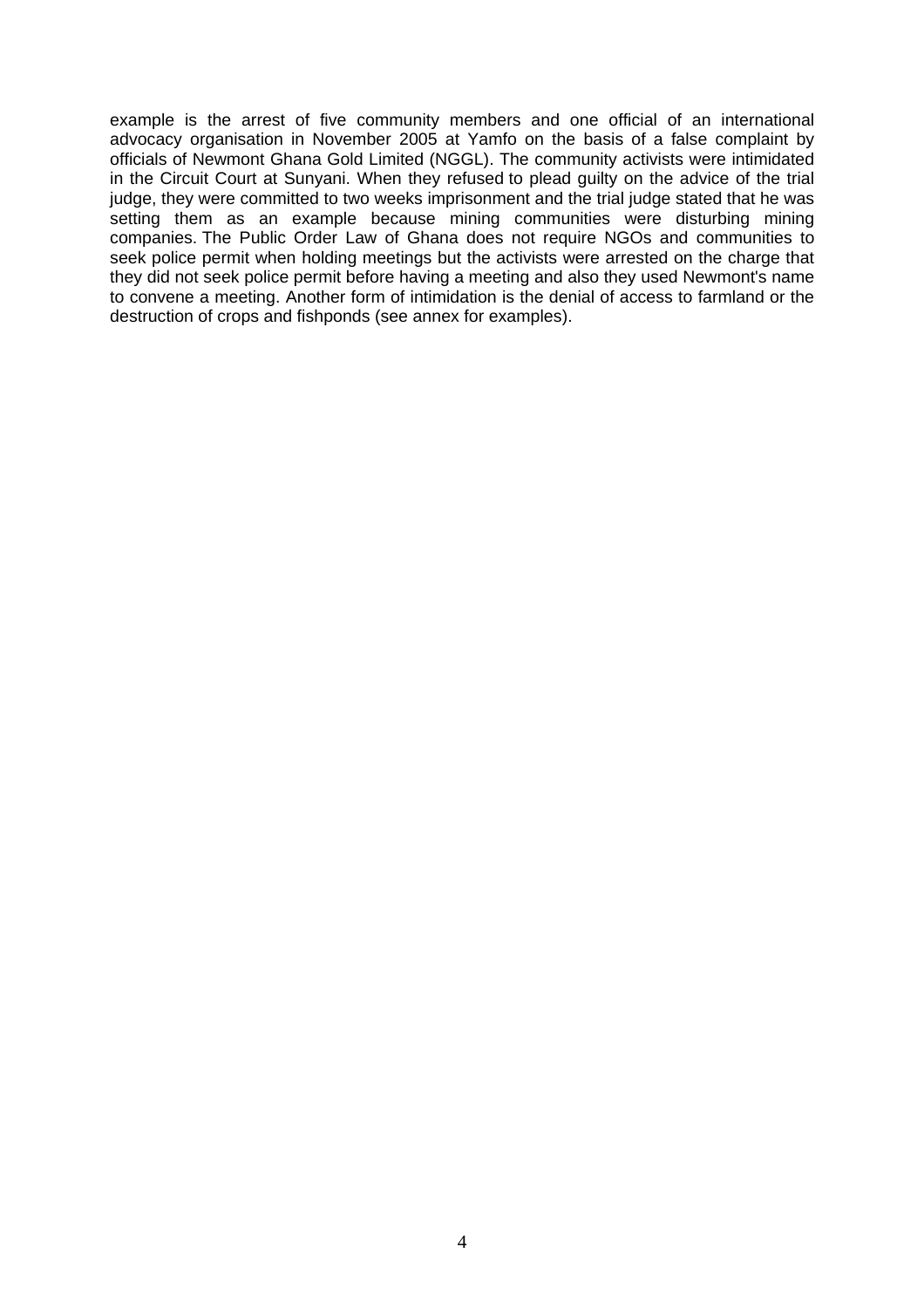example is the arrest of five community members and one official of an international advocacy organisation in November 2005 at Yamfo on the basis of a false complaint by officials of Newmont Ghana Gold Limited (NGGL). The community activists were intimidated in the Circuit Court at Sunyani. When they refused to plead guilty on the advice of the trial judge, they were committed to two weeks imprisonment and the trial judge stated that he was setting them as an example because mining communities were disturbing mining companies. The Public Order Law of Ghana does not require NGOs and communities to seek police permit when holding meetings but the activists were arrested on the charge that they did not seek police permit before having a meeting and also they used Newmont's name to convene a meeting. Another form of intimidation is the denial of access to farmland or the destruction of crops and fishponds (see annex for examples).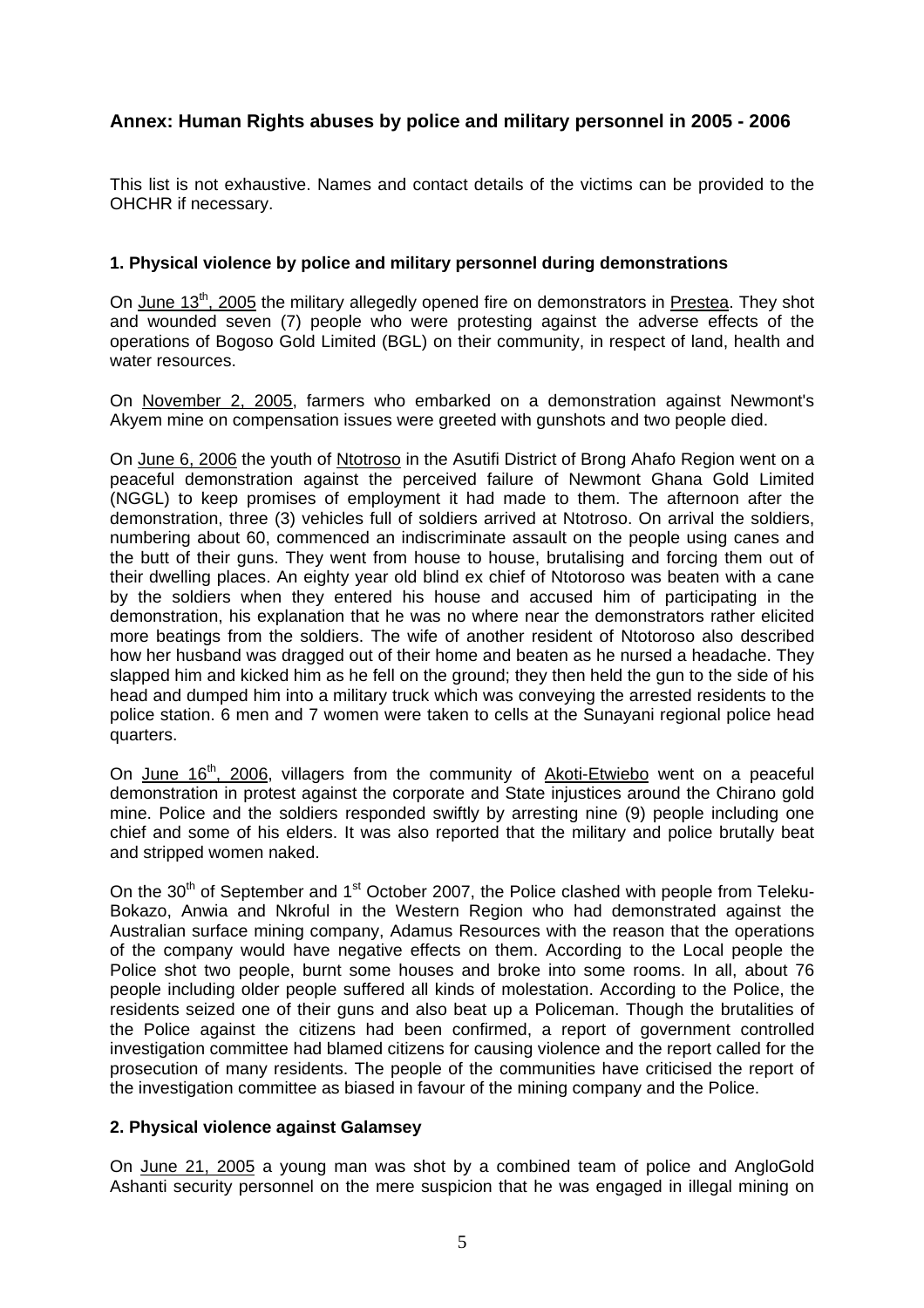# **Annex: Human Rights abuses by police and military personnel in 2005 - 2006**

This list is not exhaustive. Names and contact details of the victims can be provided to the OHCHR if necessary.

#### **1. Physical violence by police and military personnel during demonstrations**

On June 13<sup>th</sup>, 2005 the military allegedly opened fire on demonstrators in Prestea. They shot and wounded seven (7) people who were protesting against the adverse effects of the operations of Bogoso Gold Limited (BGL) on their community, in respect of land, health and water resources.

On November 2, 2005, farmers who embarked on a demonstration against Newmont's Akyem mine on compensation issues were greeted with gunshots and two people died.

On June 6, 2006 the youth of Ntotroso in the Asutifi District of Brong Ahafo Region went on a peaceful demonstration against the perceived failure of Newmont Ghana Gold Limited (NGGL) to keep promises of employment it had made to them. The afternoon after the demonstration, three (3) vehicles full of soldiers arrived at Ntotroso. On arrival the soldiers, numbering about 60, commenced an indiscriminate assault on the people using canes and the butt of their guns. They went from house to house, brutalising and forcing them out of their dwelling places. An eighty year old blind ex chief of Ntotoroso was beaten with a cane by the soldiers when they entered his house and accused him of participating in the demonstration, his explanation that he was no where near the demonstrators rather elicited more beatings from the soldiers. The wife of another resident of Ntotoroso also described how her husband was dragged out of their home and beaten as he nursed a headache. They slapped him and kicked him as he fell on the ground; they then held the gun to the side of his head and dumped him into a military truck which was conveying the arrested residents to the police station. 6 men and 7 women were taken to cells at the Sunayani regional police head quarters.

On June 16<sup>th</sup>, 2006, villagers from the community of Akoti-Etwiebo went on a peaceful demonstration in protest against the corporate and State injustices around the Chirano gold mine. Police and the soldiers responded swiftly by arresting nine (9) people including one chief and some of his elders. It was also reported that the military and police brutally beat and stripped women naked.

On the  $30<sup>th</sup>$  of September and 1<sup>st</sup> October 2007, the Police clashed with people from Teleku-Bokazo, Anwia and Nkroful in the Western Region who had demonstrated against the Australian surface mining company, Adamus Resources with the reason that the operations of the company would have negative effects on them. According to the Local people the Police shot two people, burnt some houses and broke into some rooms. In all, about 76 people including older people suffered all kinds of molestation. According to the Police, the residents seized one of their guns and also beat up a Policeman. Though the brutalities of the Police against the citizens had been confirmed, a report of government controlled investigation committee had blamed citizens for causing violence and the report called for the prosecution of many residents. The people of the communities have criticised the report of the investigation committee as biased in favour of the mining company and the Police.

## **2. Physical violence against Galamsey**

On June 21, 2005 a young man was shot by a combined team of police and AngloGold Ashanti security personnel on the mere suspicion that he was engaged in illegal mining on